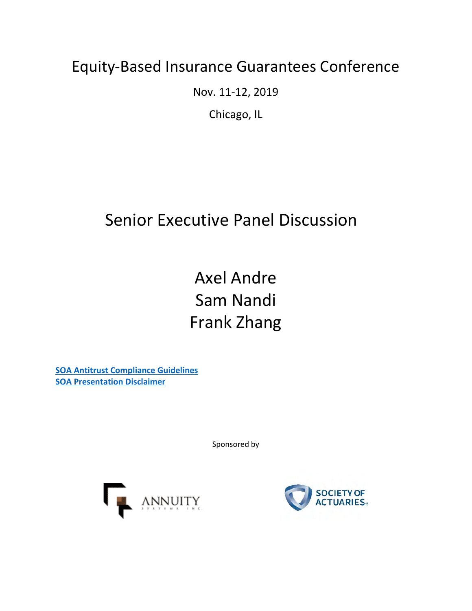### Equity-Based Insurance Guarantees Conference

Nov. 11-12, 2019

Chicago, IL

### Senior Executive Panel Discussion

Axel Andre Sam Nandi Frank Zhang

**[SOA Antitrust Compliance Guidelines](https://www.soa.org/legal/antitrust-disclaimer/) [SOA Presentation Disclaimer](https://www.soa.org/legal/presentation-disclaimer/)**

Sponsored by



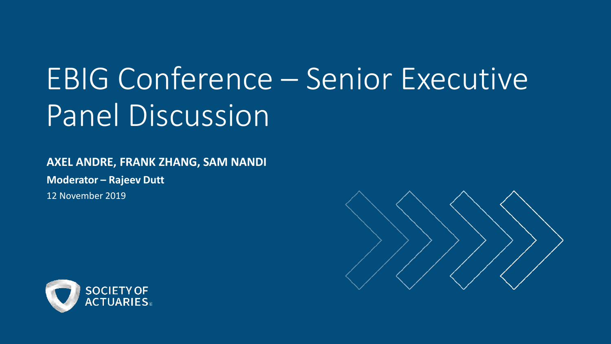# EBIG Conference – Senior Executive Panel Discussion

**AXEL ANDRE, FRANK ZHANG, SAM NANDI**

**Moderator – Rajeev Dutt**

12 November 2019



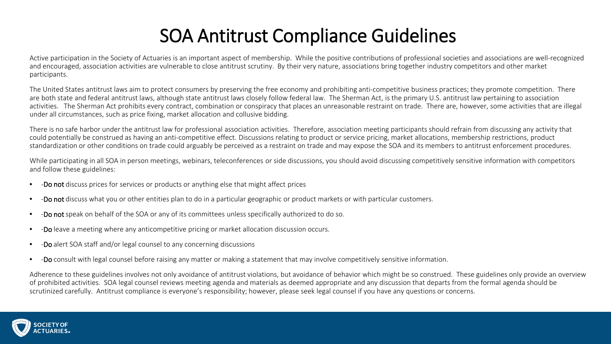### SOA Antitrust Compliance Guidelines

Active participation in the Society of Actuaries is an important aspect of membership. While the positive contributions of professional societies and associations are well-recognized and encouraged, association activities are vulnerable to close antitrust scrutiny. By their very nature, associations bring together industry competitors and other market participants.

The United States antitrust laws aim to protect consumers by preserving the free economy and prohibiting anti-competitive business practices; they promote competition. There are both state and federal antitrust laws, although state antitrust laws closely follow federal law. The Sherman Act, is the primary U.S. antitrust law pertaining to association activities. The Sherman Act prohibits every contract, combination or conspiracy that places an unreasonable restraint on trade. There are, however, some activities that are illegal under all circumstances, such as price fixing, market allocation and collusive bidding.

There is no safe harbor under the antitrust law for professional association activities. Therefore, association meeting participants should refrain from discussing any activity that could potentially be construed as having an anti-competitive effect. Discussions relating to product or service pricing, market allocations, membership restrictions, product standardization or other conditions on trade could arguably be perceived as a restraint on trade and may expose the SOA and its members to antitrust enforcement procedures.

While participating in all SOA in person meetings, webinars, teleconferences or side discussions, you should avoid discussing competitively sensitive information with competitors and follow these guidelines:

- - Do not discuss prices for services or products or anything else that might affect prices
- -Do not discuss what you or other entities plan to do in a particular geographic or product markets or with particular customers.
- -Do not speak on behalf of the SOA or any of its committees unless specifically authorized to do so.
- -Do leave a meeting where any anticompetitive pricing or market allocation discussion occurs.
- -Do alert SOA staff and/or legal counsel to any concerning discussions
- -Do consult with legal counsel before raising any matter or making a statement that may involve competitively sensitive information.

Adherence to these guidelines involves not only avoidance of antitrust violations, but avoidance of behavior which might be so construed. These guidelines only provide an overview of prohibited activities. SOA legal counsel reviews meeting agenda and materials as deemed appropriate and any discussion that departs from the formal agenda should be scrutinized carefully. Antitrust compliance is everyone's responsibility; however, please seek legal counsel if you have any questions or concerns.

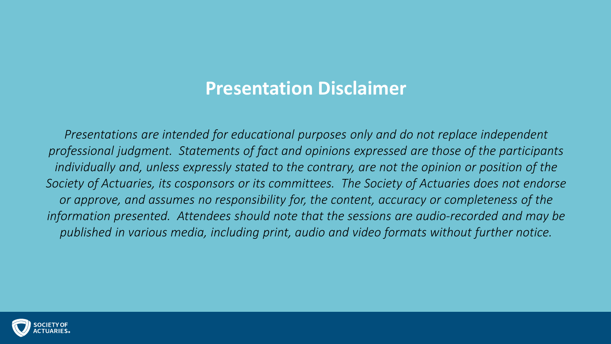### **Presentation Disclaimer**

*Presentations are intended for educational purposes only and do not replace independent professional judgment. Statements of fact and opinions expressed are those of the participants individually and, unless expressly stated to the contrary, are not the opinion or position of the Society of Actuaries, its cosponsors or its committees. The Society of Actuaries does not endorse or approve, and assumes no responsibility for, the content, accuracy or completeness of the information presented. Attendees should note that the sessions are audio-recorded and may be published in various media, including print, audio and video formats without further notice.*

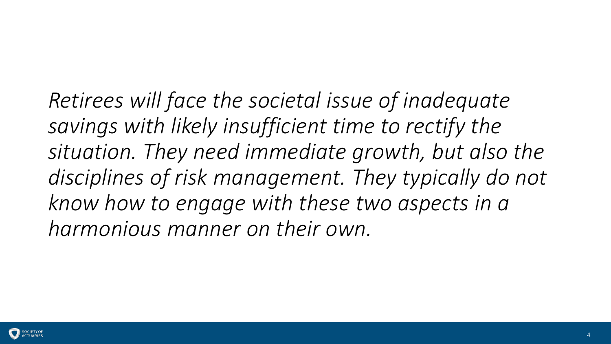### *Retirees will face the societal issue of inadequate savings with likely insufficient time to rectify the situation. They need immediate growth, but also the disciplines of risk management. They typically do not know how to engage with these two aspects in a*

*harmonious manner on their own.*

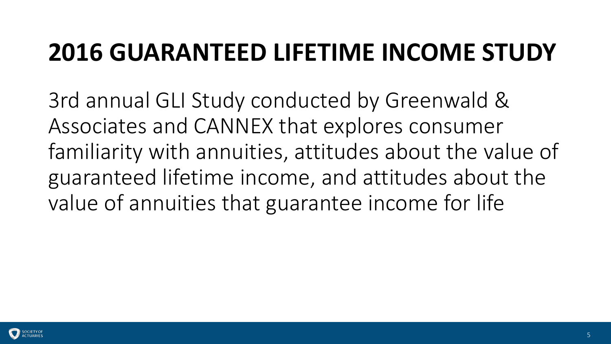### **2016 GUARANTEED LIFETIME INCOME STUDY**

3rd annual GLI Study conducted by Greenwald & Associates and CANNEX that explores consumer familiarity with annuities, attitudes about the value of guaranteed lifetime income, and attitudes about the value of annuities that guarantee income for life

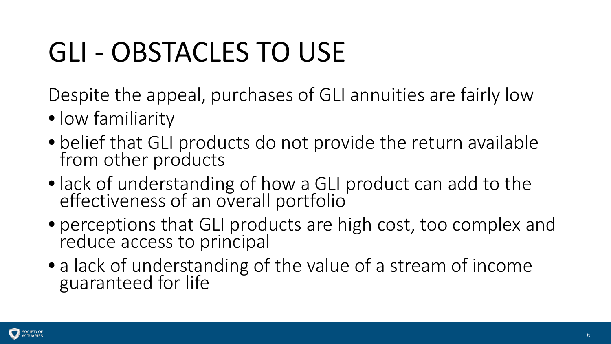## GLI - OBSTACLES TO USE

Despite the appeal, purchases of GLI annuities are fairly low

- low familiarity
- belief that GLI products do not provide the return available from other products
- lack of understanding of how a GLI product can add to the effectiveness of an overall portfolio
- perceptions that GLI products are high cost, too complex and reduce access to principal
- a lack of understanding of the value of a stream of income guaranteed for life

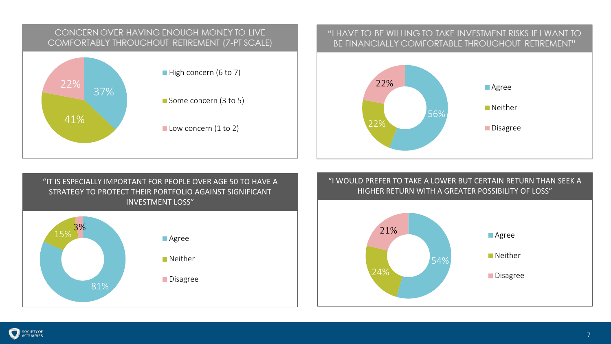

### "I HAVE TO BE WILLING TO TAKE INVESTMENT RISKS IF I WANT TO BE FINANCIALLY COMFORTABLE THROUGHOUT RETIREMENT"



"IT IS ESPECIALLY IMPORTANT FOR PEOPLE OVER AGE 50 TO HAVE A STRATEGY TO PROTECT THEIR PORTFOLIO AGAINST SIGNIFICANT INVESTMENT LOSS"



### "I WOULD PREFER TO TAKE A LOWER BUT CERTAIN RETURN THAN SEEK A HIGHER RETURN WITH A GREATER POSSIBILITY OF LOSS"

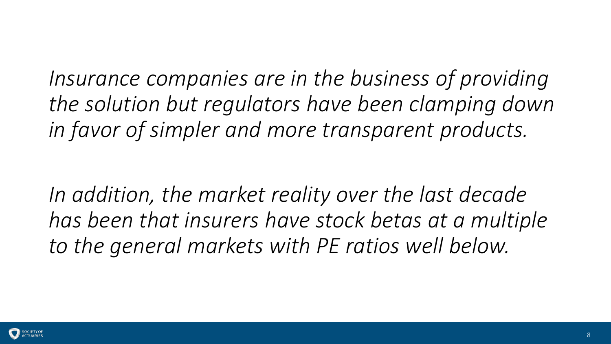*Insurance companies are in the business of providing the solution but regulators have been clamping down in favor of simpler and more transparent products.* 

*In addition, the market reality over the last decade has been that insurers have stock betas at a multiple to the general markets with PE ratios well below.* 

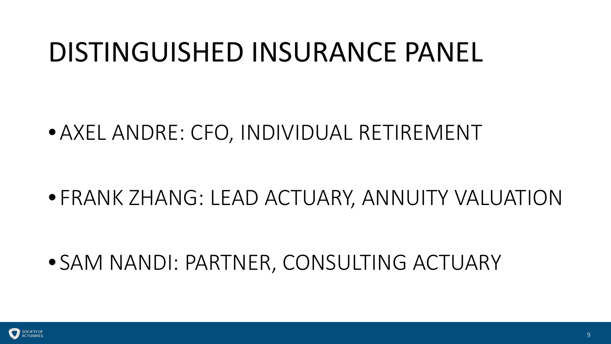### DISTINGUISHED INSURANCE PANEL

•AXEL ANDRE: CFO, INDIVIDUAL RETIREMENT

• FRANK ZHANG: LEAD ACTUARY, ANNUITY VALUATION

• SAM NANDI: PARTNER, CONSULTING ACTUARY

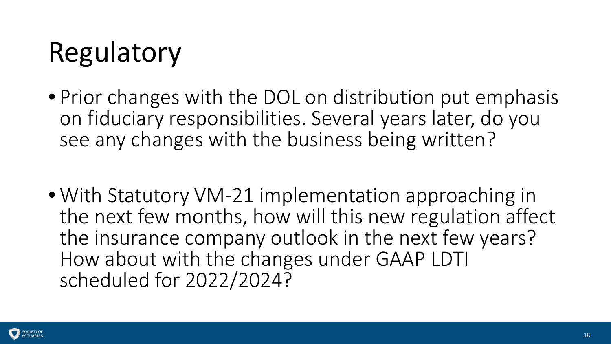## Regulatory

- Prior changes with the DOL on distribution put emphasis on fiduciary responsibilities. Several years later, do you see any changes with the business being written?
- With Statutory VM-21 implementation approaching in the next few months, how will this new regulation affect the insurance company outlook in the next few years? How about with the changes under GAAP LDTI scheduled for 2022/2024?

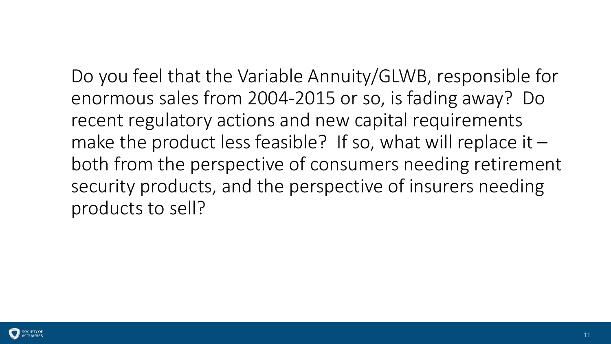Do you feel that the Variable Annuity/GLWB, responsible for enormous sales from 2004-2015 or so, is fading away? Do recent regulatory actions and new capital requirements make the product less feasible? If so, what will replace it  $$ both from the perspective of consumers needing retirement security products, and the perspective of insurers needing products to sell?

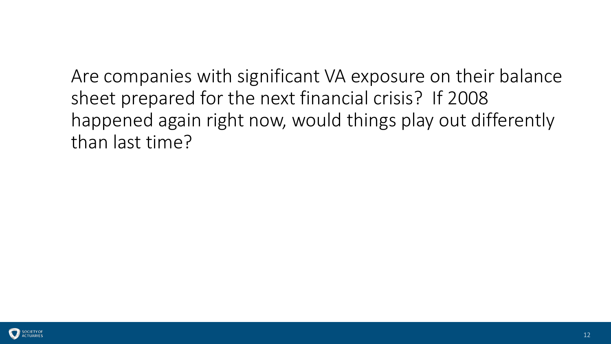Are companies with significant VA exposure on their balance sheet prepared for the next financial crisis? If 2008 happened again right now, would things play out differently than last time?

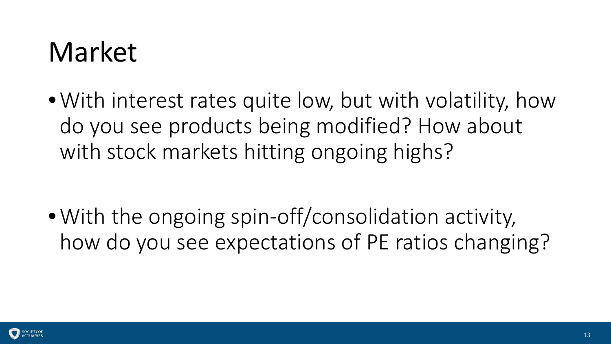## Market

•With interest rates quite low, but with volatility, how do you see products being modified? How about with stock markets hitting ongoing highs?

• With the ongoing spin-off/consolidation activity, how do you see expectations of PE ratios changing?

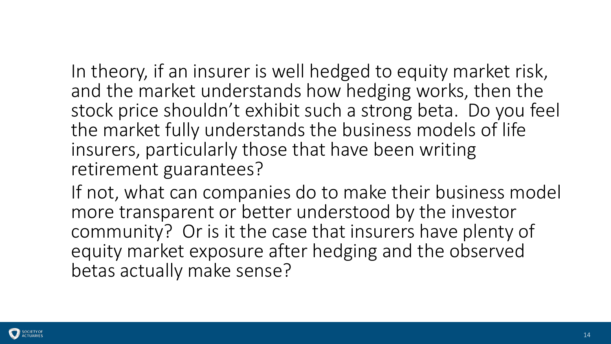In theory, if an insurer is well hedged to equity market risk, and the market understands how hedging works, then the stock price shouldn't exhibit such a strong beta. Do you feel the market fully understands the business models of life insurers, particularly those that have been writing retirement guarantees?

If not, what can companies do to make their business model more transparent or better understood by the investor community? Or is it the case that insurers have plenty of equity market exposure after hedging and the observed betas actually make sense?

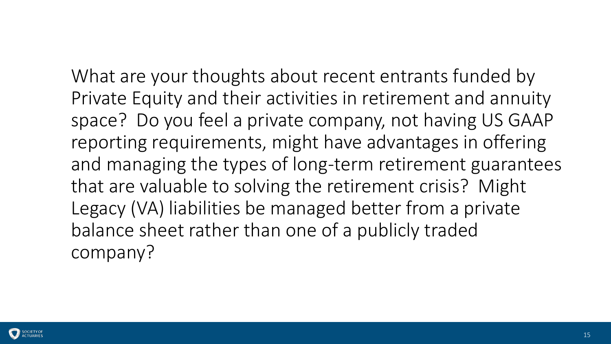What are your thoughts about recent entrants funded by Private Equity and their activities in retirement and annuity space? Do you feel a private company, not having US GAAP reporting requirements, might have advantages in offering and managing the types of long-term retirement guarantees that are valuable to solving the retirement crisis? Might Legacy (VA) liabilities be managed better from a private balance sheet rather than one of a publicly traded company?

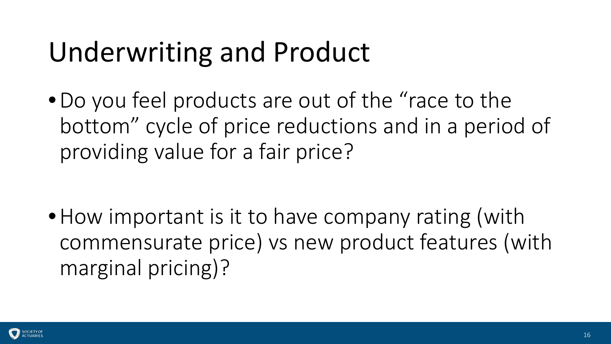## Underwriting and Product

•Do you feel products are out of the "race to the bottom" cycle of price reductions and in a period of providing value for a fair price?

• How important is it to have company rating (with commensurate price) vs new product features (with marginal pricing)?

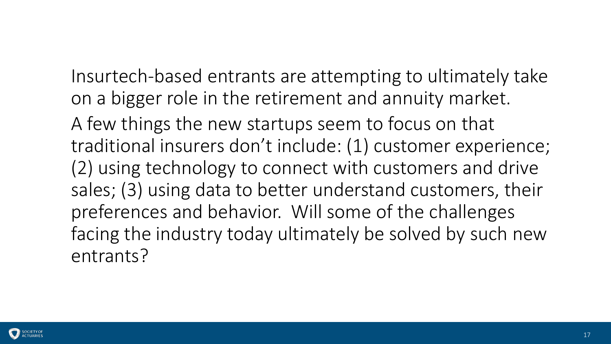Insurtech-based entrants are attempting to ultimately take on a bigger role in the retirement and annuity market.

A few things the new startups seem to focus on that traditional insurers don't include: (1) customer experience; (2) using technology to connect with customers and drive sales; (3) using data to better understand customers, their preferences and behavior. Will some of the challenges facing the industry today ultimately be solved by such new entrants?

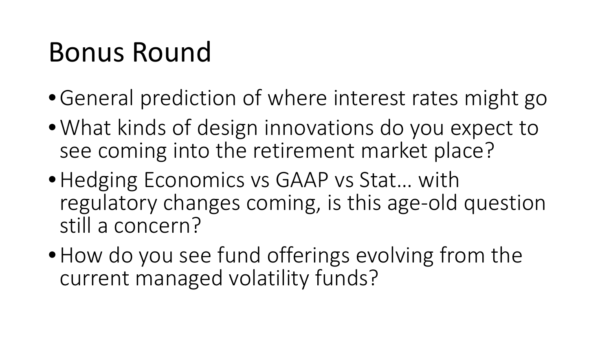## Bonus Round

- •General prediction of where interest rates might go
- •What kinds of design innovations do you expect to see coming into the retirement market place?
- •Hedging Economics vs GAAP vs Stat… with regulatory changes coming, is this age-old question still a concern?
- How do you see fund offerings evolving from the current managed volatility funds?